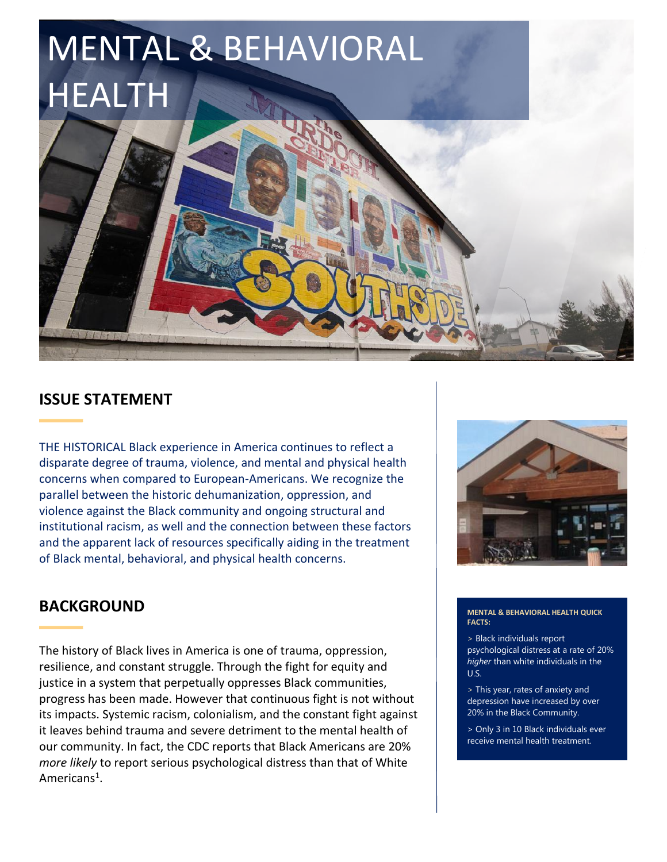# MENTAL & BEHAVIORAL HEALTH

# **ISSUE STATEMENT**

THE HISTORICAL Black experience in America continues to reflect a disparate degree of trauma, violence, and mental and physical health concerns when compared to European-Americans. We recognize the parallel between the historic dehumanization, oppression, and violence against the Black community and ongoing structural and institutional racism, as well and the connection between these factors and the apparent lack of resources specifically aiding in the treatment of Black mental, behavioral, and physical health concerns.

# **BACKGROUND**

The history of Black lives in America is one of trauma, oppression, resilience, and constant struggle. Through the fight for equity and justice in a system that perpetually oppresses Black communities, progress has been made. However that continuous fight is not without its impacts. Systemic racism, colonialism, and the constant fight against it leaves behind trauma and severe detriment to the mental health of our community. In fact, the CDC reports that Black Americans are 20% *more likely* to report serious psychological distress than that of White Americans<sup>1</sup>.



#### **MENTAL & BEHAVIORAL HEALTH QUICK FACTS:**

> Black individuals report psychological distress at a rate of 20% *higher* than white individuals in the U.S.

> This year, rates of anxiety and depression have increased by over 20% in the Black Community.

> Only 3 in 10 Black individuals ever receive mental health treatment.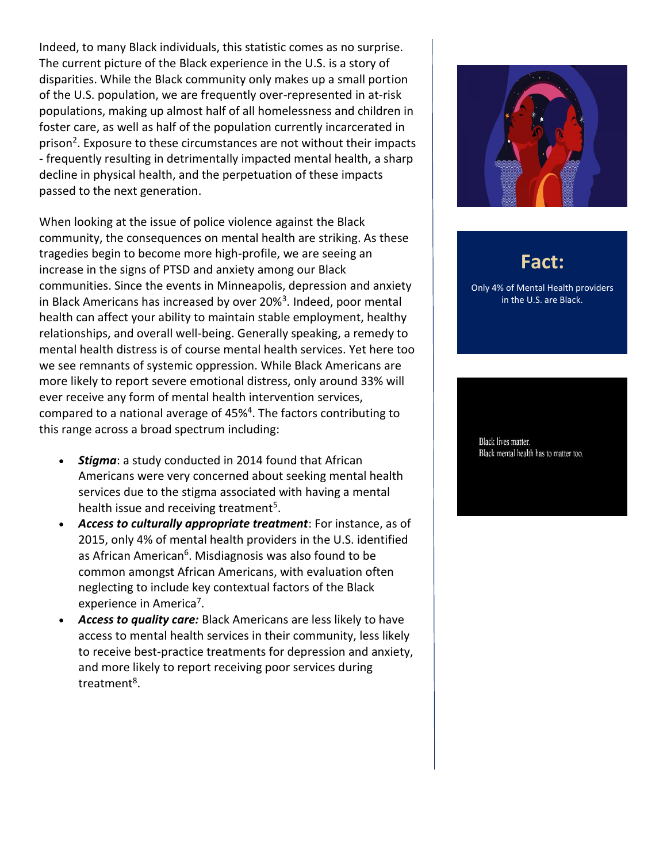Indeed, to many Black individuals, this statistic comes as no surprise. The current picture of the Black experience in the U.S. is a story of disparities. While the Black community only makes up a small portion of the U.S. population, we are frequently over-represented in at-risk populations, making up almost half of all homelessness and children in foster care, as well as half of the population currently incarcerated in prison<sup>2</sup>. Exposure to these circumstances are not without their impacts - frequently resulting in detrimentally impacted mental health, a sharp decline in physical health, and the perpetuation of these impacts passed to the next generation.

When looking at the issue of police violence against the Black community, the consequences on mental health are striking. As these tragedies begin to become more high-profile, we are seeing an increase in the signs of PTSD and anxiety among our Black communities. Since the events in Minneapolis, depression and anxiety in Black Americans has increased by over 20%<sup>3</sup>. Indeed, poor mental health can affect your ability to maintain stable employment, healthy relationships, and overall well-being. Generally speaking, a remedy to mental health distress is of course mental health services. Yet here too we see remnants of systemic oppression. While Black Americans are more likely to report severe emotional distress, only around 33% will ever receive any form of mental health intervention services, compared to a national average of 45%<sup>4</sup>. The factors contributing to this range across a broad spectrum including:

- *Stigma*: a study conducted in 2014 found that African Americans were very concerned about seeking mental health services due to the stigma associated with having a mental health issue and receiving treatment<sup>5</sup>.
- *Access to culturally appropriate treatment*: For instance, as of 2015, only 4% of mental health providers in the U.S. identified as African American<sup>6</sup>. Misdiagnosis was also found to be common amongst African Americans, with evaluation often neglecting to include key contextual factors of the Black experience in America<sup>7</sup>.
- *Access to quality care:* Black Americans are less likely to have access to mental health services in their community, less likely to receive best-practice treatments for depression and anxiety, and more likely to report receiving poor services during treatment<sup>8</sup>.



# **Fact:**

Only 4% of Mental Health providers in the U.S. are Black.

Black lives matter. Black mental health has to matter too.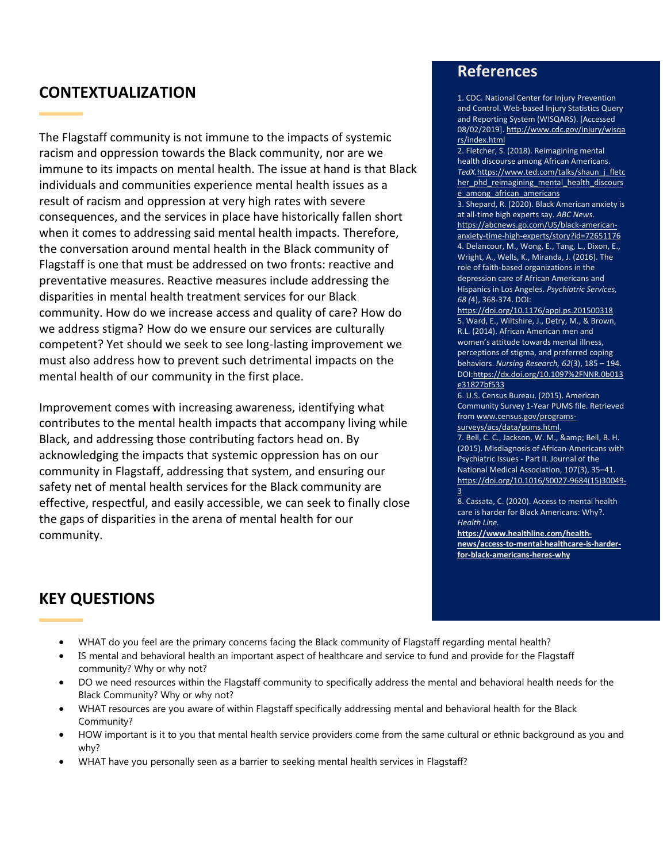## **CONTEXTUALIZATION**

The Flagstaff community is not immune to the impacts of systemic racism and oppression towards the Black community, nor are we immune to its impacts on mental health. The issue at hand is that Black individuals and communities experience mental health issues as a result of racism and oppression at very high rates with severe consequences, and the services in place have historically fallen short when it comes to addressing said mental health impacts. Therefore, the conversation around mental health in the Black community of Flagstaff is one that must be addressed on two fronts: reactive and preventative measures. Reactive measures include addressing the disparities in mental health treatment services for our Black community. How do we increase access and quality of care? How do we address stigma? How do we ensure our services are culturally competent? Yet should we seek to see long-lasting improvement we must also address how to prevent such detrimental impacts on the mental health of our community in the first place.

Improvement comes with increasing awareness, identifying what contributes to the mental health impacts that accompany living while Black, and addressing those contributing factors head on. By acknowledging the impacts that systemic oppression has on our community in Flagstaff, addressing that system, and ensuring our safety net of mental health services for the Black community are effective, respectful, and easily accessible, we can seek to finally close the gaps of disparities in the arena of mental health for our community.

### **References**

1. CDC. National Center for Injury Prevention and Control. Web-based Injury Statistics Query and Reporting System (WISQARS). [Accessed 08/02/2019]. [http://www.cdc.gov/injury/wisqa](http://www.cdc.gov/injury/wisqars/index.html) [rs/index.html](http://www.cdc.gov/injury/wisqars/index.html)

2. Fletcher, S. (2018). Reimagining mental health discourse among African Americans. *TedX.*https://www.ted.com/talks/shaun\_j\_fletc her phd reimagining mental health discours e\_among\_african\_americans

3. Shepard, R. (2020). Black American anxiety is at all-time high experts say. *ABC News.*  [https://abcnews.go.com/US/black-american](https://abcnews.go.com/US/black-american-anxiety-time-high-experts/story?id=72651176)[anxiety-time-high-experts/story?id=72651176](https://abcnews.go.com/US/black-american-anxiety-time-high-experts/story?id=72651176) 4. Delancour, M., Wong, E., Tang, L., Dixon, E., Wright, A., Wells, K., Miranda, J. (2016). The role of faith-based organizations in the depression care of African Americans and Hispanics in Los Angeles. *Psychiatric Services, 68 (*4), 368-374. DOI:

<https://doi.org/10.1176/appi.ps.201500318> 5. Ward, E., Wiltshire, J., Detry, M., & Brown, R.L. (2014). African American men and women's attitude towards mental illness, perceptions of stigma, and preferred coping behaviors. *Nursing Research, 62*(3), 185 – 194. DO[I:https://dx.doi.org/10.1097%2FNNR.0b013](https://dx.doi.org/10.1097%2FNNR.0b013e31827bf533) [e31827bf533](https://dx.doi.org/10.1097%2FNNR.0b013e31827bf533)

6. U.S. Census Bureau. (2015). American Community Survey 1-Year PUMS file. Retrieved from [www.census.gov/programs](http://www.census.gov/programs-surveys/acs/data/pums.html)[surveys/acs/data/pums.html.](http://www.census.gov/programs-surveys/acs/data/pums.html)

7. Bell, C. C., Jackson, W. M., & amp; Bell, B. H. (2015). Misdiagnosis of African-Americans with Psychiatric Issues - Part II. Journal of the National Medical Association, 107(3), 35–41. [https://doi.org/10.1016/S0027-9684\(15\)30049-](https://doi.org/10.1016/S0027-9684(15)30049-3) [3](https://doi.org/10.1016/S0027-9684(15)30049-3)

8. Cassata, C. (2020). Access to mental health care is harder for Black Americans: Why?. *Health Line.* 

**[https://www.healthline.com/health](https://www.healthline.com/health-news/access-to-mental-healthcare-is-harder-for-black-americans-heres-why)[news/access-to-mental-healthcare-is-harder](https://www.healthline.com/health-news/access-to-mental-healthcare-is-harder-for-black-americans-heres-why)[for-black-americans-heres-why](https://www.healthline.com/health-news/access-to-mental-healthcare-is-harder-for-black-americans-heres-why)**

# **KEY QUESTIONS**

- WHAT do you feel are the primary concerns facing the Black community of Flagstaff regarding mental health?
- IS mental and behavioral health an important aspect of healthcare and service to fund and provide for the Flagstaff community? Why or why not?
- DO we need resources within the Flagstaff community to specifically address the mental and behavioral health needs for the Black Community? Why or why not?
- WHAT resources are you aware of within Flagstaff specifically addressing mental and behavioral health for the Black Community?
- HOW important is it to you that mental health service providers come from the same cultural or ethnic background as you and why?
- WHAT have you personally seen as a barrier to seeking mental health services in Flagstaff?